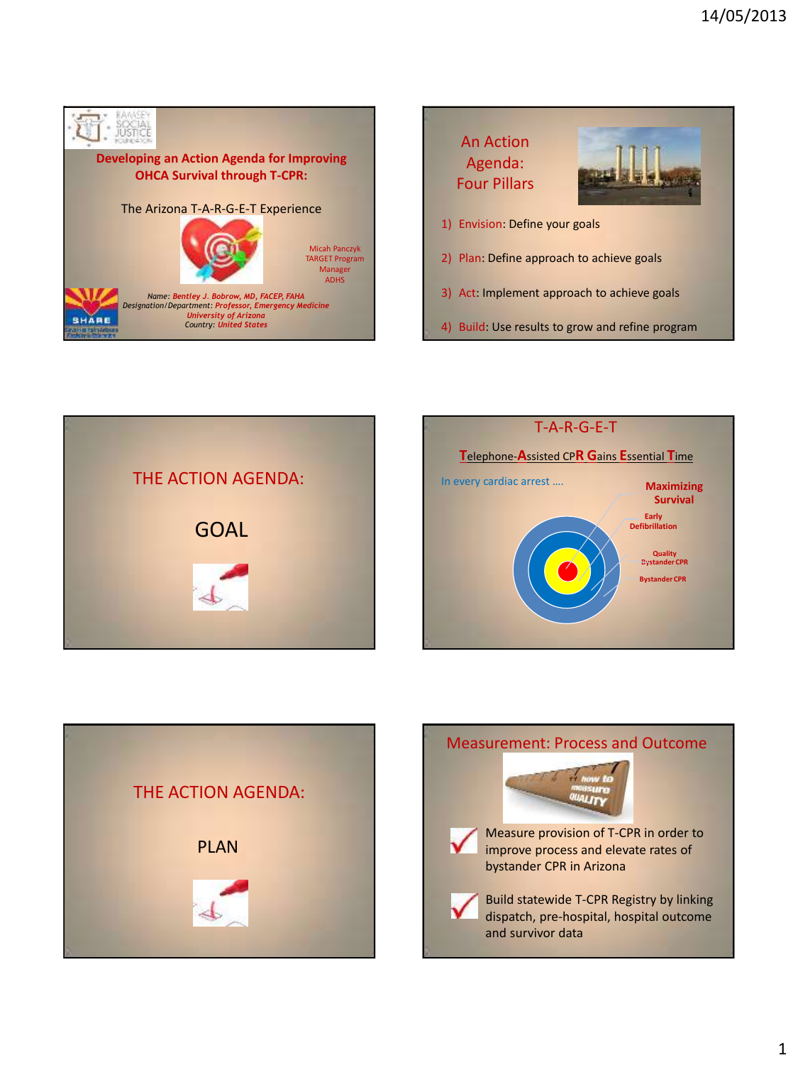







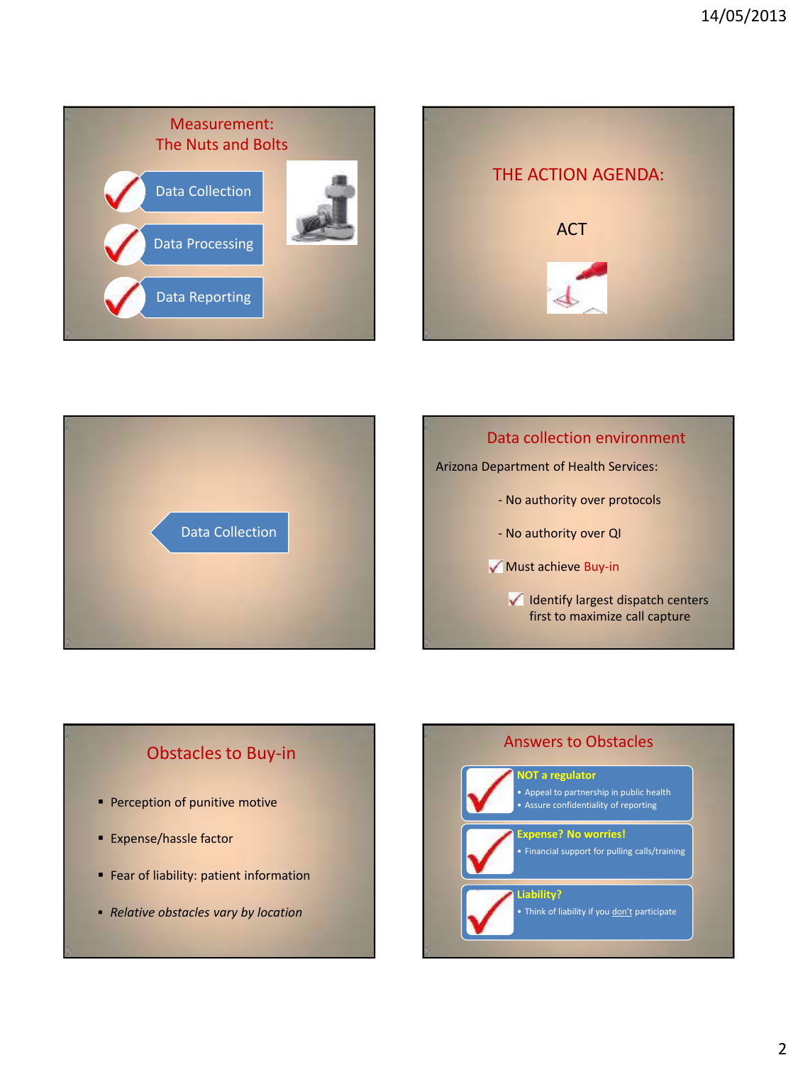







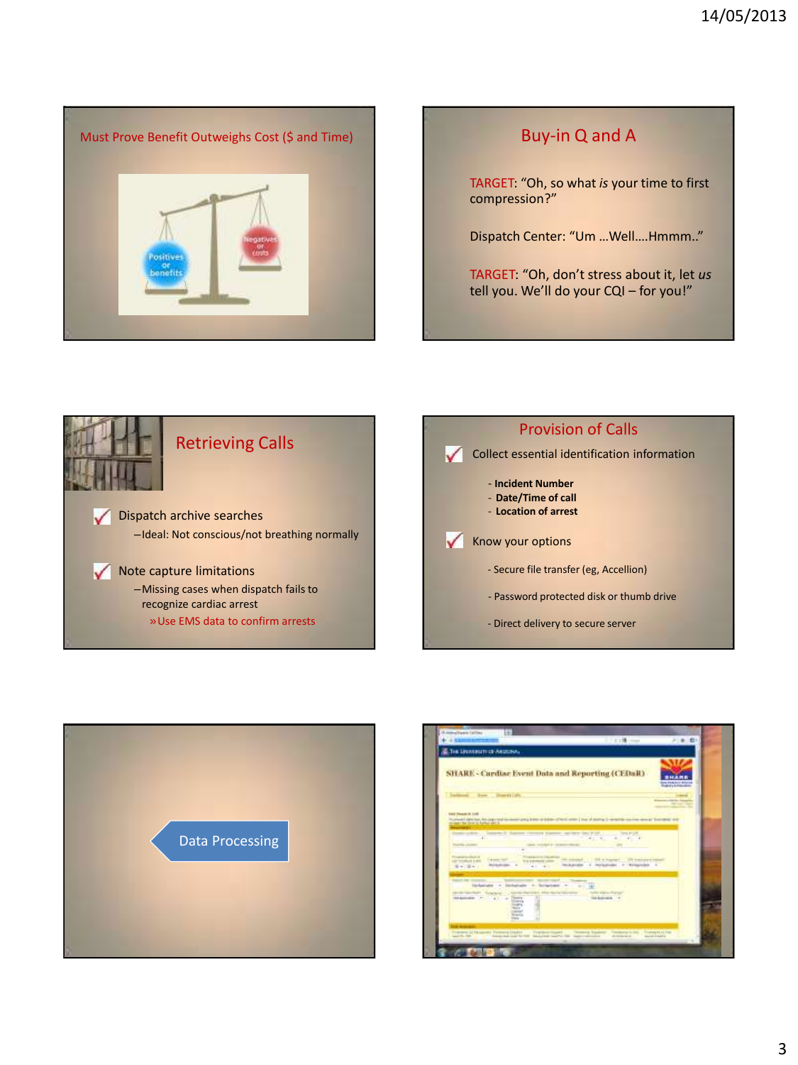

TARGET: "Oh, so what *is* your time to first compression?"

Dispatch Center: "Um …Well….Hmmm.."

TARGET: "Oh, don't stress about it, let *us* tell you. We'll do your CQI – for you!"







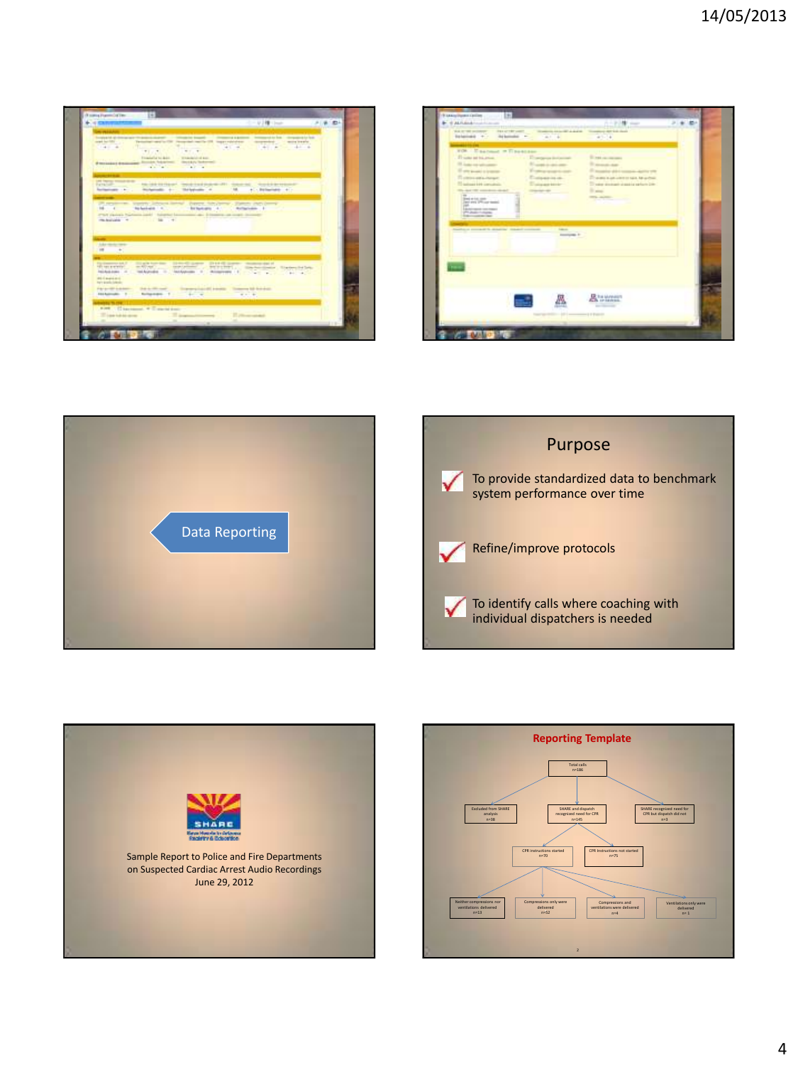

| \$1.0 W SCAN<br>Exhauster -                                                                                                                                                                                                 | <b>TELATION WATER</b><br><b>Arkender -</b>       | <b>MOVED AN INFORMATION</b><br>$4.7 - 4$      | <b>NO - 1999</b><br><br>الكسواع<br><b>SALE</b><br>prove Art Lib Audi<br>$41 - 4$                                                                                                                                      |  |
|-----------------------------------------------------------------------------------------------------------------------------------------------------------------------------------------------------------------------------|--------------------------------------------------|-----------------------------------------------|-----------------------------------------------------------------------------------------------------------------------------------------------------------------------------------------------------------------------|--|
| <b>VOI:</b> Castrout = Tiboscan<br>IT was at to away<br>10 August and Adventurer<br>If will possible a leasing<br>To obtain and a changer<br>The primary and computers.                                                     |                                                  | <b>SAFE IS ALL</b><br><b>GARDENT</b>          | the contract of the contract of the con-<br><b>Exploration</b><br>The process of the<br>We allow announced the set<br>The age is an unit of the sale. Ne achieve<br>The sales all company of dealers safety to Direc- |  |
| the day of the supporters should<br>$\equiv$<br><b>Send at List, control</b><br>Days and Officer metal.<br>$-$<br><b><i><u>Editorial manual contractors</u></i></b><br><b>Philadelphiana</b><br><b>Superintendent Color</b> |                                                  |                                               | <b>Blanch</b><br><b>The Adventure</b>                                                                                                                                                                                 |  |
|                                                                                                                                                                                                                             | <b>Sanford consist to display dealer connect</b> | <b>Sales Ave</b><br><b>Contractor</b> In<br>u | -                                                                                                                                                                                                                     |  |
|                                                                                                                                                                                                                             |                                                  |                                               |                                                                                                                                                                                                                       |  |
|                                                                                                                                                                                                                             |                                                  |                                               | <b>R</b> <sup>14</sup> Monatch                                                                                                                                                                                        |  |







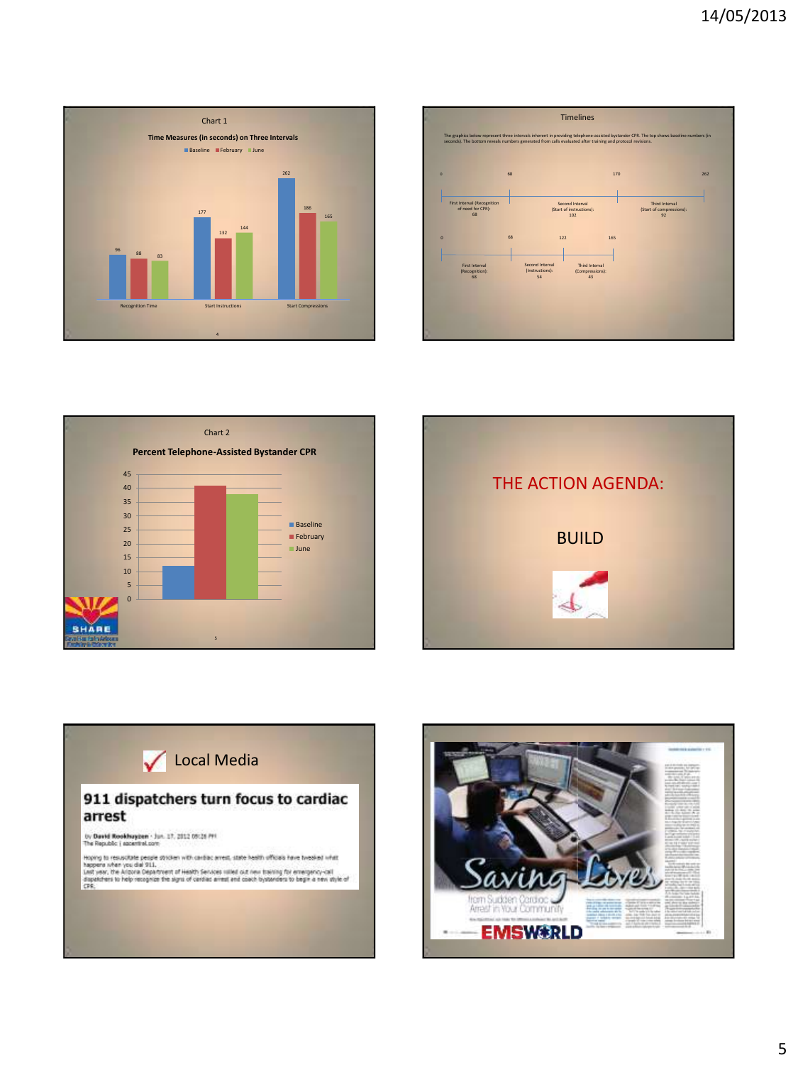









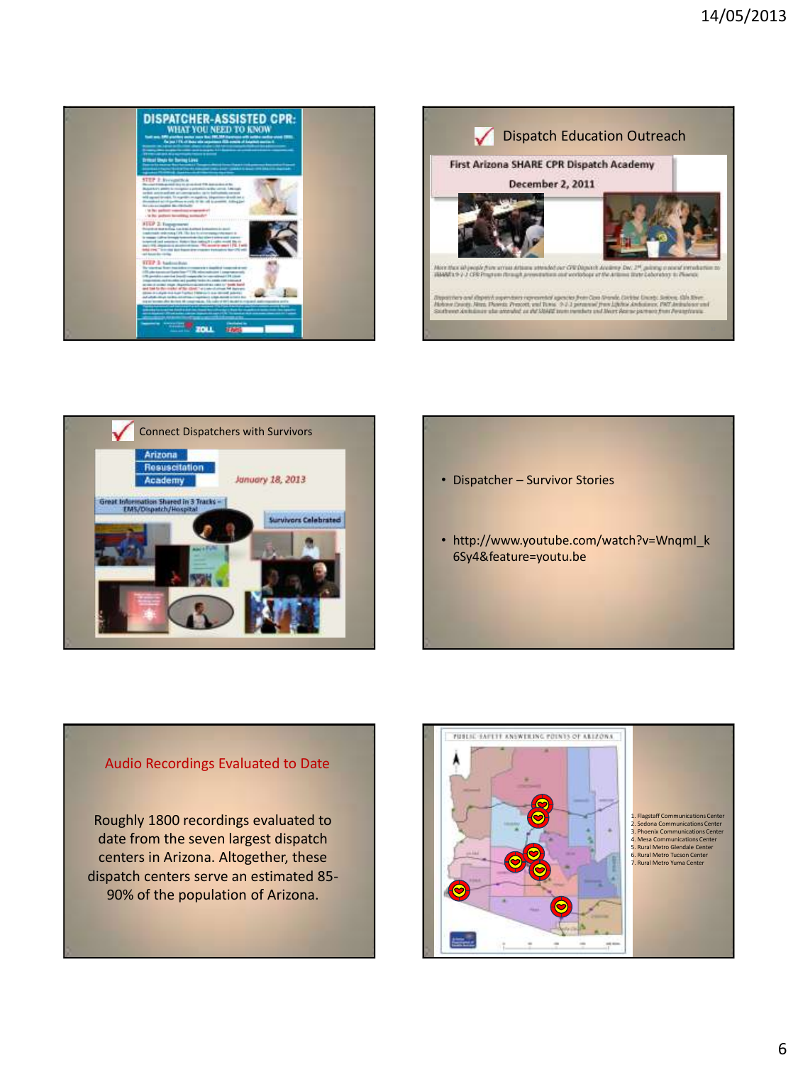







## Audio Recordings Evaluated to Date

Roughly 1800 recordings evaluated to date from the seven largest dispatch centers in Arizona. Altogether, these dispatch centers serve an estimated 85- 90% of the population of Arizona.